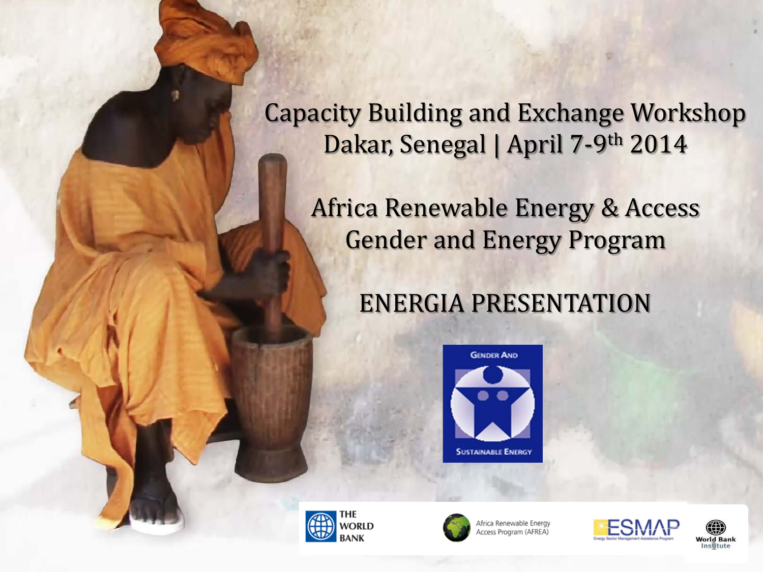Capacity Building and Exchange Workshop Dakar, Senegal | April 7-9th 2014

Africa Renewable Energy & Access Gender and Energy Program

## ENERGIA PRESENTATION







Africa Renewable Energy **Access Program (AFREA)** 



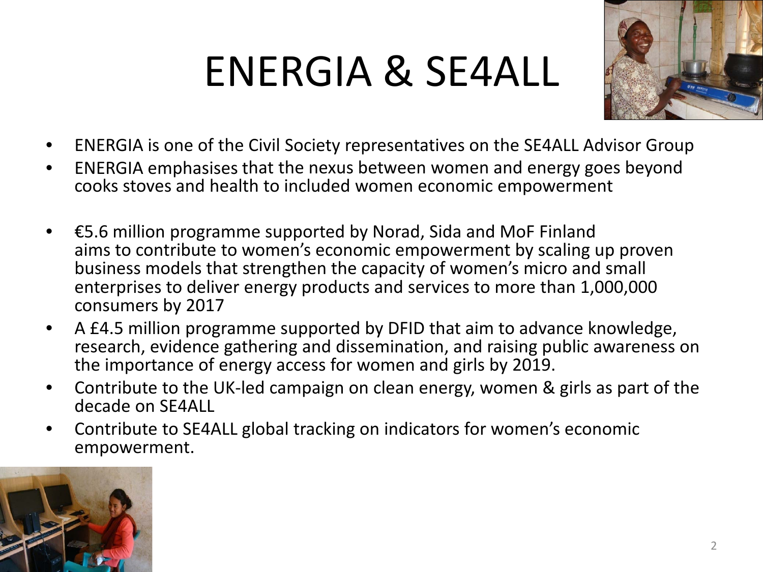## ENERGIA & SE4ALL



- ENERGIA is one of the Civil Society representatives on the SE4ALL Advisor Group
- ENERGIA emphasises that the nexus between women and energy goes beyond cooks stoves and health to included women economic empowerment
- €5.6 million programme supported by Norad, Sida and MoF Finland aims to contribute to women's economic empowerment by scaling up proven business models that strengthen the capacity of women's micro and small enterprises to deliver energy products and services to more than 1,000,000 consumers by 2017
- A £4.5 million programme supported by DFID that aim to advance knowledge, research, evidence gathering and dissemination, and raising public awareness on the importance of energy access for women and girls by 2019.
- Contribute to the UK-led campaign on clean energy, women & girls as part of the decade on SE4ALL
- Contribute to SE4ALL global tracking on indicators for women's economic empowerment.

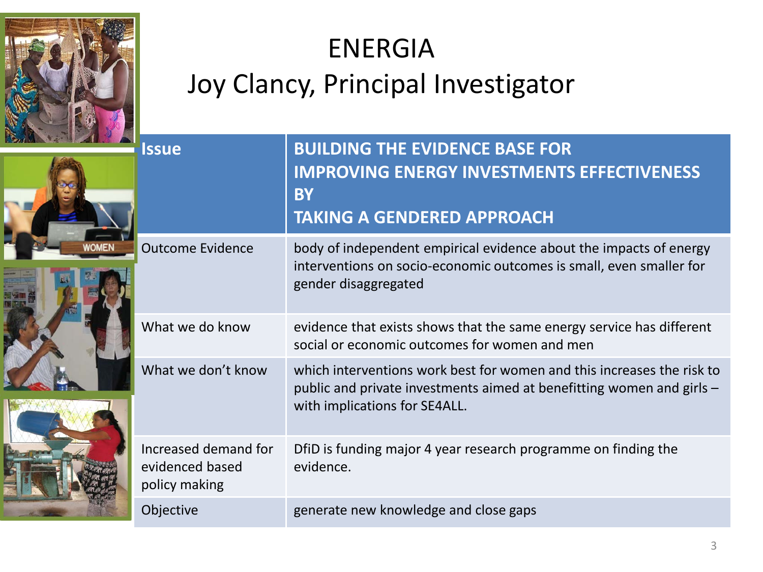

## ENERGIA Joy Clancy, Principal Investigator

| <b>Issue</b>                                             | <b>BUILDING THE EVIDENCE BASE FOR</b><br><b>IMPROVING ENERGY INVESTMENTS EFFECTIVENESS</b><br><b>BY</b><br><b>TAKING A GENDERED APPROACH</b>                                     |
|----------------------------------------------------------|----------------------------------------------------------------------------------------------------------------------------------------------------------------------------------|
| <b>Outcome Evidence</b>                                  | body of independent empirical evidence about the impacts of energy<br>interventions on socio-economic outcomes is small, even smaller for<br>gender disaggregated                |
| What we do know                                          | evidence that exists shows that the same energy service has different<br>social or economic outcomes for women and men                                                           |
| What we don't know                                       | which interventions work best for women and this increases the risk to<br>public and private investments aimed at benefitting women and girls -<br>with implications for SE4ALL. |
| Increased demand for<br>evidenced based<br>policy making | DfiD is funding major 4 year research programme on finding the<br>evidence.                                                                                                      |
| Objective                                                | generate new knowledge and close gaps                                                                                                                                            |